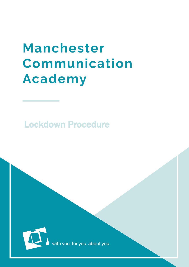# Manchester Communication **Academy**

Lockdown Procedure



 $\mathcal{L}_\text{L}$  , and the contract of the contract of the contract of the contract of the contract of the contract of the contract of the contract of the contract of the contract of the contract of the contract of the contr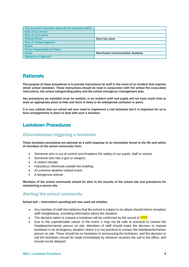| This document has been approved for operation within |                                         |
|------------------------------------------------------|-----------------------------------------|
| Date of last review                                  |                                         |
| Date of next review                                  |                                         |
| <b>Review Period</b>                                 | Every two years                         |
| <b>Date of Trustee Approval</b>                      |                                         |
| <b>Status</b>                                        |                                         |
| <b>Person Responsible for Policy</b>                 |                                         |
| <b>Owner</b>                                         | <b>Manchester Communication Academy</b> |
| <b>Signature of Approval</b>                         |                                         |

## **Rationale**

The purpose of these procedures is to provide instructions for staff in the event of an incident that requires whole school lockdown. These instructions should be read in conjunction with the school fire evacuation instructions, the school safeguarding policy and the school emergency management plan.

Any procedures we establish must be realistic; in an incident staff and pupils will not have much time to seek an appropriate place to hide and there is likely to be widespread confusion or panic.

It is very unlikely that our school will ever need to implement a real lockdown but it is important for us to have arrangements in place to deal with such a situation.

## Lockdown Procedures

### Circumstances triggering a lockdown

These lockdown procedures are planned as a swift response to an immediate threat to the life and safety of members of the school community from:

- Someone who is out of control and threatens the safety of our pupils, staff or visitors
- Someone who has a gun or weapon;
- A violent intruder
- Hazardous chemicals outside the building;
- An extreme weather-related event
- A dangerous animal

Members of the school community should be alert to the security of the school site and procedures for maintaining a secure site.

### Alerting the school community

School bell – intermittent sounding bell now used not whistles.

- Any member of staff who believes that the school is subject to an attack should inform reception staff straightaway, providing information about the situation.
- The decision taken to impose a lockdown will be confirmed by the sound of  $\frac{2222}{222}$
- Due to the unpredictable nature of the event, it may not be safe or practical to contact the Headteacher/senior person on site. Members of staff should make the decision to impose lockdown in an emergency situation where it is not practical to contact the Headteacher/senior person on site. There should be no hesitation in announcing the lockdown, and the decision to call the lockdown should be made immediately by whoever receives the call to the office, and should not be delayed.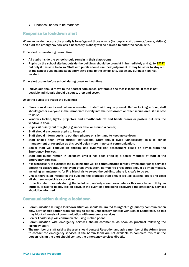Phonecall needs to be made to:

#### Response to lockdown alert

When an incident occurs the priority is to safeguard those on-site (i.e. pupils, staff, parents/carers, visitors) and alert the emergency services if necessary. Nobody will be allowed to enter the school site.

If the alert occurs during lesson time:

- All pupils inside the school should remain in their classrooms.
- Pupils on the school site but outside the buildings should be brought in immediately and go to ????? but only if it is safe to do so. Staff with pupils should use their judgement. It may be safer to stay out of the school building and seek alternative exits to the school site, especially during a high-risk incident.

If the alert occurs before school, during break or lunchtime:

 Individuals should move to the nearest safe space, preferable one that is lockable. If that is not possible individuals should disperse, drop and cover.

Once the pupils are inside the buildings:

- Classroom doors locked, where a member of staff with key is present. Before locking a door, staff should gather everyone in the immediate vicinity into their classroom or other secure area, if it is safe to do so.
- Windows locked, lights, projectors and smartboards off and blinds drawn or posters put over the window in door.
- Pupils sit quietly out of sight (e.g. under desk or around a corner).
- Staff should encourage pupils to keep calm.
- Staff should inform pupils to put their phones on silent and to keep noise down.
- Staff should then await further instructions. Staff should avoid unnecessary calls to senior management or reception as this could delay more important communication.
- Senior staff will conduct an ongoing and dynamic risk assessment based on advice from the Emergency Services.
- Staff and pupils remain in lockdown until it has been lifted by a senior member of staff or the Emergency Services.
- If it is necessary to evacuate the building, this will be communicated directly by the emergency services directly to classrooms. In the event of an evacuation, normal fire procedures should be implemented, including arrangements for Fire Marshals to sweep the building, where it is safe to do so.
- Unless there is an intruder in the building, the premises staff should lock all external doors and close all shutters as quickly as possible.
- If the fire alarm sounds during the lockdown, nobody should evacuate as this may be set off by an intruder. It is safer to stay locked down. In the event of a fire being discovered the emergency services should be informed.

### Communication during a lockdown

- Communication during a lockdown situation should be limited to urgent/high priority communication only. Staff should refrain from seeking to make unnecessary contact with Senior Leadership, as this may block channels of communication with emergency services.
- Senior Leadership will communicate using mobile phone.
- Communication with emergency services should commence as soon as practical following the lockdown alert.
- The member of staff raising the alert should contact Reception and ask a member of the Admin team to contact the emergency services. If the Admin team are not available to complete this task, the person raising the alert should contact the emergency services directly.